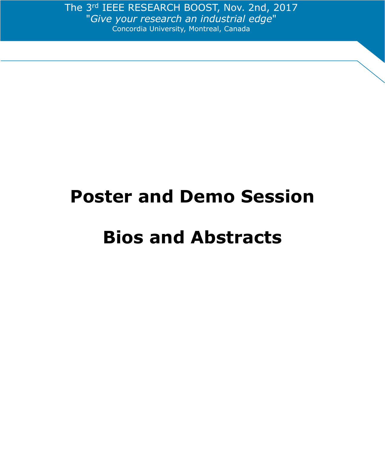# **Poster and Demo Session**

# **Bios and Abstracts**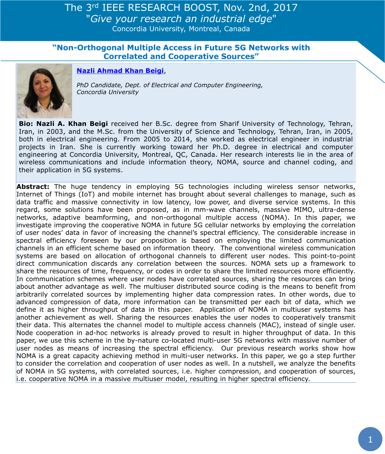## **"Non-Orthogonal Multiple Access in Future 5G Networks with Correlated and Cooperative Sources"**



#### **Nazli [Ahmad Khan Beigi](https://ca.linkedin.com/in/nazli-khanbeigi-7a120356)**,

*PhD Candidate, Dept. of Electrical and Computer Engineering, Concordia University*

**Bio: Nazli A. Khan Beigi** received her B.Sc. degree from Sharif University of Technology, Tehran, Iran, in 2003, and the M.Sc. from the University of Science and Technology, Tehran, Iran, in 2005, both in electrical engineering. From 2005 to 2014, she worked as electrical engineer in industrial projects in Iran. She is currently working toward her Ph.D. degree in electrical and computer engineering at Concordia University, Montreal, QC, Canada. Her research interests lie in the area of wireless communications and include information theory, NOMA, source and channel coding, and their application in 5G systems.

**Abstract:** The huge tendency in employing 5G technologies including wireless sensor networks, Internet of Things (IoT) and mobile internet has brought about several challenges to manage, such as data traffic and massive connectivity in low latency, low power, and diverse service systems. In this regard, some solutions have been proposed, as in mm-wave channels, massive MIMO, ultra-dense networks, adaptive beamforming, and non-orthogonal multiple access (NOMA). In this paper, we investigate improving the cooperative NOMA in future 5G cellular networks by employing the correlation of user nodes' data in favor of increasing the channel's spectral efficiency. The considerable increase in spectral efficiency foreseen by our proposition is based on employing the limited communication channels in an efficient scheme based on information theory. The conventional wireless communication systems are based on allocation of orthogonal channels to different user nodes. This point-to-point direct communication discards any correlation between the sources. NOMA sets up a framework to share the resources of time, frequency, or codes in order to share the limited resources more efficiently. In communication schemes where user nodes have correlated sources, sharing the resources can bring about another advantage as well. The multiuser distributed source coding is the means to benefit from arbitrarily correlated sources by implementing higher data compression rates. In other words, due to advanced compression of data, more information can be transmitted per each bit of data, which we define it as higher throughput of data in this paper. Application of NOMA in multiuser systems has another achievement as well. Sharing the resources enables the user nodes to cooperatively transmit their data. This alternates the channel model to multiple access channels (MAC), instead of single user. Node cooperation in ad-hoc networks is already proved to result in higher throughput of data. In this paper, we use this scheme in the by-nature co-located multi-user 5G networks with massive number of user nodes as means of increasing the spectral efficiency. Our previous research works show how NOMA is a great capacity achieving method in multi-user networks. In this paper, we go a step further to consider the correlation and cooperation of user nodes as well. In a nutshell, we analyze the benefits of NOMA in 5G systems, with correlated sources, i.e. higher compression, and cooperation of sources, i.e. cooperative NOMA in a massive multiuser model, resulting in higher spectral efficiency.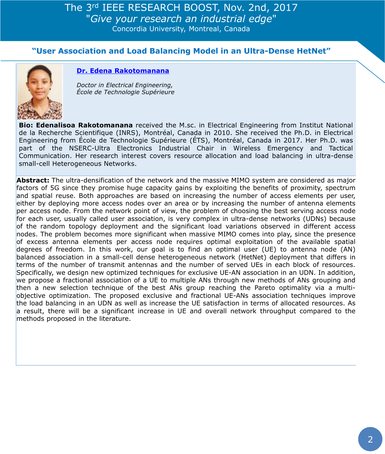# **"User Association and Load Balancing Model in an Ultra-Dense HetNet"**



#### **Dr. Edena [Rakotomanana](https://www.linkedin.com/in/edenalisoa-rakotomanana-20b07a3a/)**

*Doctor in Electrical Engineering, École de Technologie Supérieure*

**Bio: Edenalisoa Rakotomanana** received the M.sc. in Electrical Engineering from Institut National de la Recherche Scientifique (INRS), Montréal, Canada in 2010. She received the Ph.D. in Electrical Engineering from École de Technologie Supérieure (ÉTS), Montréal, Canada in 2017. Her Ph.D. was part of the NSERC-Ultra Electronics Industrial Chair in Wireless Emergency and Tactical Communication. Her research interest covers resource allocation and load balancing in ultra-dense small-cell Heterogeneous Networks.

**Abstract:** The ultra-densification of the network and the massive MIMO system are considered as major factors of 5G since they promise huge capacity gains by exploiting the benefits of proximity, spectrum and spatial reuse. Both approaches are based on increasing the number of access elements per user, either by deploying more access nodes over an area or by increasing the number of antenna elements per access node. From the network point of view, the problem of choosing the best serving access node for each user, usually called user association, is very complex in ultra-dense networks (UDNs) because of the random topology deployment and the significant load variations observed in different access nodes. The problem becomes more significant when massive MIMO comes into play, since the presence of excess antenna elements per access node requires optimal exploitation of the available spatial degrees of freedom. In this work, our goal is to find an optimal user (UE) to antenna node (AN) balanced association in a small-cell dense heterogeneous network (HetNet) deployment that differs in terms of the number of transmit antennas and the number of served UEs in each block of resources. Specifically, we design new optimized techniques for exclusive UE-AN association in an UDN. In addition, we propose a fractional association of a UE to multiple ANs through new methods of ANs grouping and then a new selection technique of the best ANs group reaching the Pareto optimality via a multiobjective optimization. The proposed exclusive and fractional UE-ANs association techniques improve the load balancing in an UDN as well as increase the UE satisfaction in terms of allocated resources. As a result, there will be a significant increase in UE and overall network throughput compared to the methods proposed in the literature.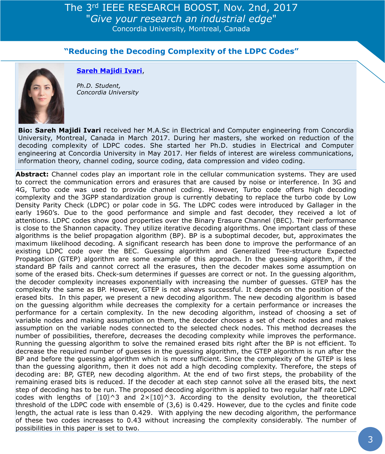## **"Reducing the Decoding Complexity of the LDPC Codes"**



#### **Sareh [Majidi](https://www.linkedin.com/in/sareh-majidi-ivari-5200a5137/) Ivari**,

*Ph.D. Student, Concordia University*

**Bio: Sareh Majidi Ivari** received her M.A.Sc in Electrical and Computer engineering from Concordia University, Montreal, Canada in March 2017. During her masters, she worked on reduction of the decoding complexity of LDPC codes. She started her Ph.D. studies in Electrical and Computer engineering at Concordia University in May 2017. Her fields of interest are wireless communications, information theory, channel coding, source coding, data compression and video coding.

**Abstract:** Channel codes play an important role in the cellular communication systems. They are used to correct the communication errors and erasures that are caused by noise or interference. In 3G and 4G, Turbo code was used to provide channel coding. However, Turbo code offers high decoding complexity and the 3GPP standardization group is currently debating to replace the turbo code by Low Density Parity Check (LDPC) or polar code in 5G. The LDPC codes were introduced by Gallager in the early 1960's. Due to the good performance and simple and fast decoder, they received a lot of attentions. LDPC codes show good properties over the Binary Erasure Channel (BEC). Their performance is close to the Shannon capacity. They utilize iterative decoding algorithms. One important class of these algorithms is the belief propagation algorithm (BP). BP is a suboptimal decoder, but, approximates the maximum likelihood decoding. A significant research has been done to improve the performance of an existing LDPC code over the BEC. Guessing algorithm and Generalized Tree-structure Expected Propagation (GTEP) algorithm are some example of this approach. In the guessing algorithm, if the standard BP fails and cannot correct all the erasures, then the decoder makes some assumption on some of the erased bits. Check-sum determines if guesses are correct or not. In the guessing algorithm, the decoder complexity increases exponentially with increasing the number of guesses. GTEP has the complexity the same as BP. However, GTEP is not always successful. It depends on the position of the erased bits. In this paper, we present a new decoding algorithm. The new decoding algorithm is based on the guessing algorithm while decreases the complexity for a certain performance or increases the performance for a certain complexity. In the new decoding algorithm, instead of choosing a set of variable nodes and making assumption on them, the decoder chooses a set of check nodes and makes assumption on the variable nodes connected to the selected check nodes. This method decreases the number of possibilities, therefore, decreases the decoding complexity while improves the performance. Running the guessing algorithm to solve the remained erased bits right after the BP is not efficient. To decrease the required number of guesses in the guessing algorithm, the GTEP algorithm is run after the BP and before the guessing algorithm which is more sufficient. Since the complexity of the GTEP is less than the guessing algorithm, then it does not add a high decoding complexity. Therefore, the steps of decoding are: BP, GTEP, new decoding algorithm. At the end of two first steps, the probability of the remaining erased bits is reduced. If the decoder at each step cannot solve all the erased bits, the next step of decoding has to be run. The proposed decoding algorithm is applied to two regular half rate LDPC codes with lengths of  $[10]$ <sup> $\land$ </sup>3 and 2× $[10]$  $\land$ 3. According to the density evolution, the theoretical threshold of the LDPC code with ensemble of (3,6) is 0.429. However, due to the cycles and finite code length, the actual rate is less than 0.429. With applying the new decoding algorithm, the performance of these two codes increases to 0.43 without increasing the complexity considerably. The number of possibilities in this paper is set to two.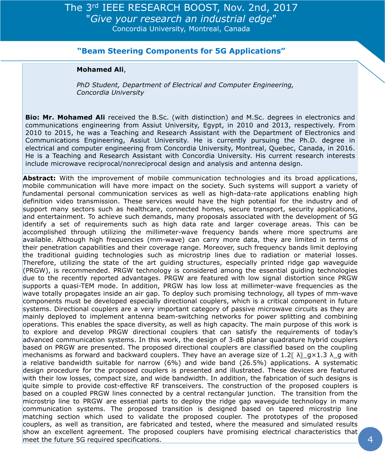# **"Beam Steering Components for 5G Applications"**

#### **Mohamed Ali**,

*PhD Student, Department of Electrical and Computer Engineering, Concordia University*

**Bio: Mr. Mohamed Ali** received the B.Sc. (with distinction) and M.Sc. degrees in electronics and communications engineering from Assiut University, Egypt, in 2010 and 2013, respectively. From 2010 to 2015, he was a Teaching and Research Assistant with the Department of Electronics and Communications Engineering, Assiut University. He is currently pursuing the Ph.D. degree in electrical and computer engineering from Concordia University, Montreal, Quebec, Canada, in 2016. He is a Teaching and Research Assistant with Concordia University. His current research interests include microwave reciprocal/nonreciprocal design and analysis and antenna design.

Abstract: With the improvement of mobile communication technologies and its broad applications, mobile communication will have more impact on the society. Such systems will support a variety of fundamental personal communication services as well as high-data-rate applications enabling high definition video transmission. These services would have the high potential for the industry and of support many sectors such as healthcare, connected homes, secure transport, security applications, and entertainment. To achieve such demands, many proposals associated with the development of 5G identify a set of requirements such as high data rate and larger coverage areas. This can be accomplished through utilizing the millimeter-wave frequency bands where more spectrums are available. Although high frequencies (mm-wave) can carry more data, they are limited in terms of their penetration capabilities and their coverage range. Moreover, such frequency bands limit deploying the traditional guiding technologies such as microstrip lines due to radiation or material losses. Therefore, utilizing the state of the art guiding structures, especially printed ridge gap waveguide (PRGW), is recommended. PRGW technology is considered among the essential guiding technologies due to the recently reported advantages. PRGW are featured with low signal distortion since PRGW supports a quasi-TEM mode. In addition, PRGW has low loss at millimeter-wave frequencies as the wave totally propagates inside an air gap. To deploy such promising technology, all types of mm-wave components must be developed especially directional couplers, which is a critical component in future systems. Directional couplers are a very important category of passive microwave circuits as they are mainly deployed to implement antenna beam-switching networks for power splitting and combining operations. This enables the space diversity, as well as high capacity. The main purpose of this work is to explore and develop PRGW directional couplers that can satisfy the requirements of today's advanced communication systems. In this work, the design of 3-dB planar quadrature hybrid couplers based on PRGW are presented. The proposed directional couplers are classified based on the coupling mechanisms as forward and backward couplers. They have an average size of 1.2 $(\lambda)$  q×1.3  $\lambda$  q with a relative bandwidth suitable for narrow (6%) and wide band (26.5%) applications. A systematic design procedure for the proposed couplers is presented and illustrated. These devices are featured with their low losses, compact size, and wide bandwidth. In addition, the fabrication of such designs is quite simple to provide cost-effective RF transceivers. The construction of the proposed couplers is based on a coupled PRGW lines connected by a central rectangular junction. The transition from the microstrip line to PRGW are essential parts to deploy the ridge gap waveguide technology in many communication systems. The proposed transition is designed based on tapered microstrip line matching section which used to validate the proposed coupler. The prototypes of the proposed couplers, as well as transition, are fabricated and tested, where the measured and simulated results show an excellent agreement. The proposed couplers have promising electrical characteristics that meet the future 5G required specifications.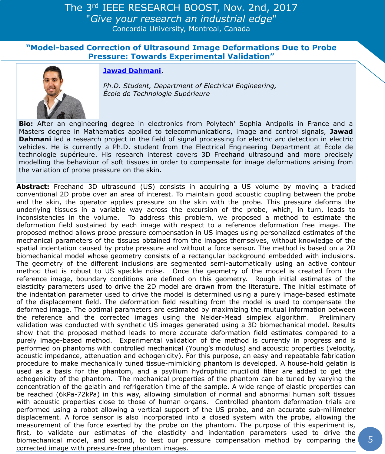## **"Model-based Correction of Ultrasound Image Deformations Due to Probe Pressure: Towards Experimental Validation"**



#### **[Jawad Dahmani](https://www.linkedin.com/in/jawad-dahmani-8a883417/)**,

*Ph.D. Student, Department of Electrical Engineering, École de Technologie Supérieure*

**Bio:** After an engineering degree in electronics from Polytech' Sophia Antipolis in France and a Masters degree in Mathematics applied to telecommunications, image and control signals, **Jawad Dahmani** led a research project in the field of signal processing for electric arc detection in electric vehicles. He is currently a Ph.D. student from the Electrical Engineering Department at École de technologie supérieure. His research interest covers 3D Freehand ultrasound and more precisely modelling the behaviour of soft tissues in order to compensate for image deformations arising from the variation of probe pressure on the skin.

**Abstract:** Freehand 3D ultrasound (US) consists in acquiring a US volume by moving a tracked conventional 2D probe over an area of interest. To maintain good acoustic coupling between the probe and the skin, the operator applies pressure on the skin with the probe. This pressure deforms the underlying tissues in a variable way across the excursion of the probe, which, in turn, leads to inconsistencies in the volume. To address this problem, we proposed a method to estimate the deformation field sustained by each image with respect to a reference deformation free image. The proposed method allows probe pressure compensation in US images using personalized estimates of the mechanical parameters of the tissues obtained from the images themselves, without knowledge of the spatial indentation caused by probe pressure and without a force sensor. The method is based on a 2D biomechanical model whose geometry consists of a rectangular background embedded with inclusions. The geometry of the different inclusions are segmented semi-automatically using an active contour method that is robust to US speckle noise. Once the geometry of the model is created from the reference image, boundary conditions are defined on this geometry. Rough initial estimates of the elasticity parameters used to drive the 2D model are drawn from the literature. The initial estimate of the indentation parameter used to drive the model is determined using a purely image-based estimate of the displacement field. The deformation field resulting from the model is used to compensate the deformed image. The optimal parameters are estimated by maximizing the mutual information between the reference and the corrected images using the Nelder-Mead simplex algorithm. Preliminary validation was conducted with synthetic US images generated using a 3D biomechanical model. Results show that the proposed method leads to more accurate deformation field estimates compared to a purely image-based method. Experimental validation of the method is currently in progress and is performed on phantoms with controlled mechanical (Young's modulus) and acoustic properties (velocity, acoustic impedance, attenuation and echogenicity). For this purpose, an easy and repeatable fabrication procedure to make mechanically tuned tissue-mimicking phantom is developed. A house-hold gelatin is used as a basis for the phantom, and a psyllium hydrophilic mucilloid fiber are added to get the echogenicity of the phantom. The mechanical properties of the phantom can be tuned by varying the concentration of the gelatin and refrigeration time of the sample. A wide range of elastic properties can be reached (6kPa-72kPa) in this way, allowing simulation of normal and abnormal human soft tissues with acoustic properties close to those of human organs. Controlled phantom deformation trials are performed using a robot allowing a vertical support of the US probe, and an accurate sub-millimeter displacement. A force sensor is also incorporated into a closed system with the probe, allowing the measurement of the force exerted by the probe on the phantom. The purpose of this experiment is, first, to validate our estimates of the elasticity and indentation parameters used to drive the biomechanical model, and second, to test our pressure compensation method by comparing the corrected image with pressure-free phantom images.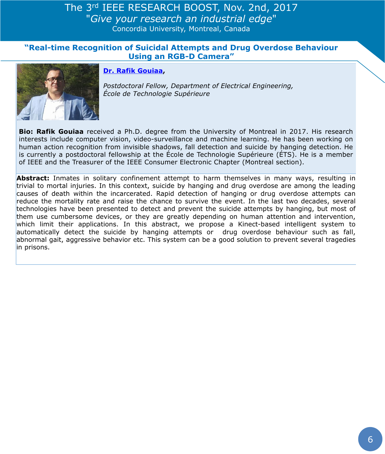## **"Real-time Recognition of Suicidal Attempts and Drug Overdose Behaviour Using an RGB-D Camera"**



## **[Dr. Rafik](http://www.linkedin.com/in/rafik-gouiaa-836b7725) Gouiaa,**

*Postdoctoral Fellow, Department of Electrical Engineering, École de Technologie Supérieure*

**Bio: Rafik Gouiaa** received a Ph.D. degree from the University of Montreal in 2017. His research interests include computer vision, video-surveillance and machine learning. He has been working on human action recognition from invisible shadows, fall detection and suicide by hanging detection. He is currently a postdoctoral fellowship at the École de Technologie Supérieure (ÉTS). He is a member of IEEE and the Treasurer of the IEEE Consumer Electronic Chapter (Montreal section).

**Abstract:** Inmates in solitary confinement attempt to harm themselves in many ways, resulting in trivial to mortal injuries. In this context, suicide by hanging and drug overdose are among the leading causes of death within the incarcerated. Rapid detection of hanging or drug overdose attempts can reduce the mortality rate and raise the chance to survive the event. In the last two decades, several technologies have been presented to detect and prevent the suicide attempts by hanging, but most of them use cumbersome devices, or they are greatly depending on human attention and intervention, which limit their applications. In this abstract, we propose a Kinect-based intelligent system to automatically detect the suicide by hanging attempts or drug overdose behaviour such as fall, abnormal gait, aggressive behavior etc. This system can be a good solution to prevent several tragedies in prisons.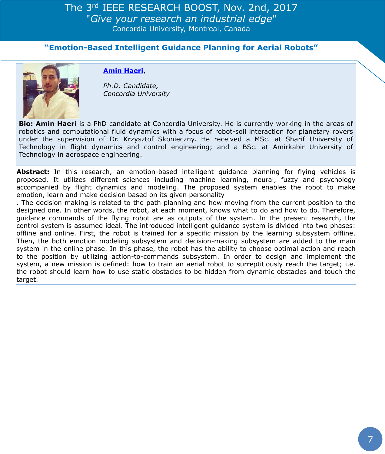## **"Emotion-Based Intelligent Guidance Planning for Aerial Robots"**



#### **[Amin Haeri](http://www.linkedin.com/in/aminhaeri)**,

*Ph.D. Candidate, Concordia University*

**Bio: Amin Haeri** is a PhD candidate at Concordia University. He is currently working in the areas of robotics and computational fluid dynamics with a focus of robot-soil interaction for planetary rovers under the supervision of Dr. Krzysztof Skonieczny. He received a MSc. at Sharif University of Technology in flight dynamics and control engineering; and a BSc. at Amirkabir University of Technology in aerospace engineering.

**Abstract:** In this research, an emotion-based intelligent guidance planning for flying vehicles is proposed. It utilizes different sciences including machine learning, neural, fuzzy and psychology accompanied by flight dynamics and modeling. The proposed system enables the robot to make emotion, learn and make decision based on its given personality

. The decision making is related to the path planning and how moving from the current position to the designed one. In other words, the robot, at each moment, knows what to do and how to do. Therefore, guidance commands of the flying robot are as outputs of the system. In the present research, the control system is assumed ideal. The introduced intelligent guidance system is divided into two phases: offline and online. First, the robot is trained for a specific mission by the learning subsystem offline. Then, the both emotion modeling subsystem and decision-making subsystem are added to the main system in the online phase. In this phase, the robot has the ability to choose optimal action and reach to the position by utilizing action-to-commands subsystem. In order to design and implement the system, a new mission is defined: how to train an aerial robot to surreptitiously reach the target; i.e. the robot should learn how to use static obstacles to be hidden from dynamic obstacles and touch the target.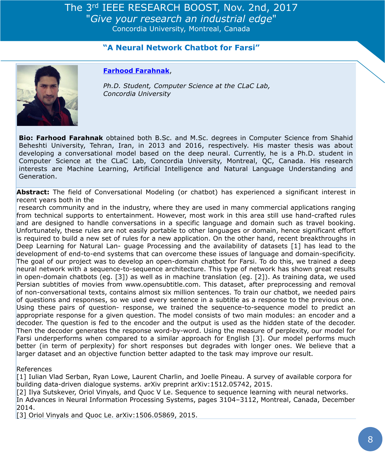## **"A Neural Network Chatbot for Farsi"**



### **Farhood [Farahnak](https://www.linkedin.com/in/farhood-farahnak/)**,

*Ph.D. Student, Computer Science at the CLaC Lab, Concordia University*

**Bio: Farhood Farahnak** obtained both B.Sc. and M.Sc. degrees in Computer Science from Shahid Beheshti University, Tehran, Iran, in 2013 and 2016, respectively. His master thesis was about developing a conversational model based on the deep neural. Currently, he is a Ph.D. student in Computer Science at the CLaC Lab, Concordia University, Montreal, QC, Canada. His research interests are Machine Learning, Artificial Intelligence and Natural Language Understanding and Generation.

**Abstract:** The field of Conversational Modeling (or chatbot) has experienced a significant interest in recent years both in the

research community and in the industry, where they are used in many commercial applications ranging from technical supports to entertainment. However, most work in this area still use hand-crafted rules and are designed to handle conversations in a specific language and domain such as travel booking. Unfortunately, these rules are not easily portable to other languages or domain, hence significant effort is required to build a new set of rules for a new application. On the other hand, recent breakthroughs in Deep Learning for Natural Lan- guage Processing and the availability of datasets [1] has lead to the development of end-to-end systems that can overcome these issues of language and domain-specificity. The goal of our project was to develop an open-domain chatbot for Farsi. To do this, we trained a deep neural network with a sequence-to-sequence architecture. This type of network has shown great results in open-domain chatbots (eg. [3]) as well as in machine translation (eg. [2]). As training data, we used Persian subtitles of movies from www.opensubtitle.com. This dataset, after preprocessing and removal of non-conversational texts, contains almost six million sentences. To train our chatbot, we needed pairs of questions and responses, so we used every sentence in a subtitle as a response to the previous one. Using these pairs of question- response, we trained the sequence-to-sequence model to predict an appropriate response for a given question. The model consists of two main modules: an encoder and a decoder. The question is fed to the encoder and the output is used as the hidden state of the decoder. Then the decoder generates the response word-by-word. Using the measure of perplexity, our model for Farsi underperforms when compared to a similar approach for English [3]. Our model performs much better (in term of perplexity) for short responses but degrades with longer ones. We believe that a larger dataset and an objective function better adapted to the task may improve our result.

References

[1] Iulian Vlad Serban, Ryan Lowe, Laurent Charlin, and Joelle Pineau. A survey of available corpora for building data-driven dialogue systems. arXiv preprint arXiv:1512.05742, 2015.

[2] Ilya Sutskever, Oriol Vinyals, and Quoc V Le. Sequence to sequence learning with neural networks. In Advances in Neural Information Processing Systems, pages 3104–3112, Montreal, Canada, December 2014.

[3] Oriol Vinyals and Quoc Le. arXiv:1506.05869, 2015.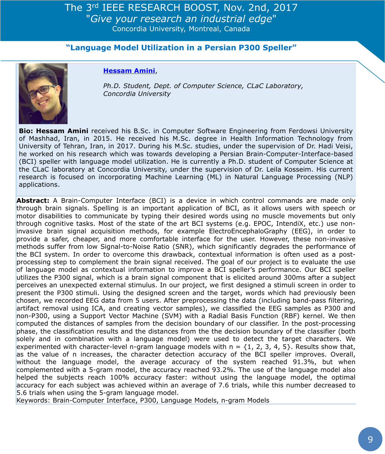## **"Language Model Utilization in a Persian P300 Speller"**



#### **[Hessam](https://www.linkedin.com/in/hessam-amini-140960106/) Amini**,

*Ph.D. Student, Dept. of Computer Science, CLaC Laboratory, Concordia University*

**Bio: Hessam Amini** received his B.Sc. in Computer Software Engineering from Ferdowsi University of Mashhad, Iran, in 2015. He received his M.Sc. degree in Health Information Technology from University of Tehran, Iran, in 2017. During his M.Sc. studies, under the supervision of Dr. Hadi Veisi, he worked on his research which was towards developing a Persian Brain-Computer-Interface-based (BCI) speller with language model utilization. He is currently a Ph.D. student of Computer Science at the CLaC laboratory at Concordia University, under the supervision of Dr. Leila Kosseim. His current research is focused on incorporating Machine Learning (ML) in Natural Language Processing (NLP) applications.

**Abstract:** A Brain-Computer Interface (BCI) is a device in which control commands are made only through brain signals. Spelling is an important application of BCI, as it allows users with speech or motor disabilities to communicate by typing their desired words using no muscle movements but only through cognitive tasks. Most of the state of the art BCI systems (e.g. EPOC, IntendiX, etc.) use noninvasive brain signal acquisition methods, for example ElectroEncephaloGraphy (EEG), in order to provide a safer, cheaper, and more comfortable interface for the user. However, these non-invasive methods suffer from low Signal-to-Noise Ratio (SNR), which significantly degrades the performance of the BCI system. In order to overcome this drawback, contextual information is often used as a postprocessing step to complement the brain signal received. The goal of our project is to evaluate the use of language model as contextual information to improve a BCI speller's performance. Our BCI speller utilizes the P300 signal, which is a brain signal component that is elicited around 300ms after a subject perceives an unexpected external stimulus. In our project, we first designed a stimuli screen in order to present the P300 stimuli. Using the designed screen and the target, words which had previously been chosen, we recorded EEG data from 5 users. After preprocessing the data (including band-pass filtering, artifact removal using ICA, and creating vector samples), we classified the EEG samples as P300 and non-P300, using a Support Vector Machine (SVM) with a Radial Basis Function (RBF) kernel. We then computed the distances of samples from the decision boundary of our classifier. In the post-processing phase, the classification results and the distances from the the decision boundary of the classifier (both solely and in combination with a language model) were used to detect the target characters. We experimented with character-level n-gram language models with  $n = \{1, 2, 3, 4, 5\}$ . Results show that, as the value of n increases, the character detection accuracy of the BCI speller improves. Overall, without the language model, the average accuracy of the system reached 91.3%, but when complemented with a 5-gram model, the accuracy reached 93.2%. The use of the language model also helped the subjects reach 100% accuracy faster: without using the language model, the optimal accuracy for each subject was achieved within an average of 7.6 trials, while this number decreased to 5.6 trials when using the 5-gram language model.

Keywords: Brain-Computer Interface, P300, Language Models, n-gram Models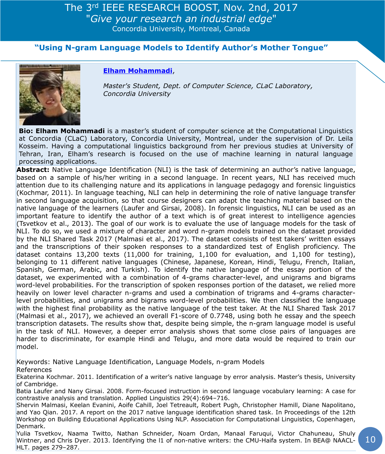## **"Using N-gram Language Models to Identify Author's Mother Tongue"**



#### **Elham [Mohammadi](http://www.linkedin.com/in/elham-mohammadi-476b11138)**,

*Master's Student, Dept. of Computer Science, CLaC Laboratory, Concordia University*

**Bio: Elham Mohammadi** is a master's student of computer science at the Computational Linguistics at Concordia (CLaC) Laboratory, Concordia University, Montreal, under the supervision of Dr. Leila Kosseim. Having a computational linguistics background from her previous studies at University of Tehran, Iran, Elham's research is focused on the use of machine learning in natural language processing applications.

**Abstract:** Native Language Identification (NLI) is the task of determining an author's native language, based on a sample of his/her writing in a second language. In recent years, NLI has received much attention due to its challenging nature and its applications in language pedagogy and forensic linguistics (Kochmar, 2011). In language teaching, NLI can help in determining the role of native language transfer in second language acquisition, so that course designers can adapt the teaching material based on the native language of the learners (Laufer and Girsai, 2008). In forensic linguistics, NLI can be used as an important feature to identify the author of a text which is of great interest to intelligence agencies (Tsvetkov et al., 2013). The goal of our work is to evaluate the use of language models for the task of NLI. To do so, we used a mixture of character and word n-gram models trained on the dataset provided by the NLI Shared Task 2017 (Malmasi et al., 2017). The dataset consists of test takers' written essays and the transcriptions of their spoken responses to a standardized test of English proficiency. The dataset contains 13,200 texts (11,000 for training, 1,100 for evaluation, and 1,100 for testing), belonging to 11 different native languages (Chinese, Japanese, Korean, Hindi, Telugu, French, Italian, Spanish, German, Arabic, and Turkish). To identify the native language of the essay portion of the dataset, we experimented with a combination of 4-grams character-level, and unigrams and bigrams word-level probabilities. For the transcription of spoken responses portion of the dataset, we relied more heavily on lower level character n-grams and used a combination of trigrams and 4-grams characterlevel probabilities, and unigrams and bigrams word-level probabilities. We then classified the language with the highest final probability as the native language of the test taker. At the NLI Shared Task 2017 (Malmasi et al., 2017), we achieved an overall F1-score of 0.7748, using both he essay and the speech transcription datasets. The results show that, despite being simple, the n-gram language model is useful in the task of NLI. However, a deeper error analysis shows that some close pairs of languages are harder to discriminate, for example Hindi and Telugu, and more data would be required to train our model.

Keywords: Native Language Identification, Language Models, n-gram Models

#### References

Ekaterina Kochmar. 2011. Identification of a writer's native language by error analysis. Master's thesis, University of Cambridge.

Batia Laufer and Nany Girsai. 2008. Form-focused instruction in second language vocabulary learning: A case for contrastive analysis and translation. Applied Linguistics 29(4):694–716.

Shervin Malmasi, Keelan Evanini, Aoife Cahill, Joel Tetreault, Robert Pugh, Christopher Hamill, Diane Napolitano, and Yao Qian. 2017. A report on the 2017 native language identification shared task. In Proceedings of the 12th Workshop on Building Educational Applications Using NLP. Association for Computational Linguistics, Copenhagen, Denmark.

Yulia Tsvetkov, Naama Twitto, Nathan Schneider, Noam Ordan, Manaal Faruqui, Victor Chahuneau, Shuly Wintner, and Chris Dyer. 2013. Identifying the l1 of non-native writers: the CMU-Haifa system. In BEA@ NAACL-HLT. pages 279–287.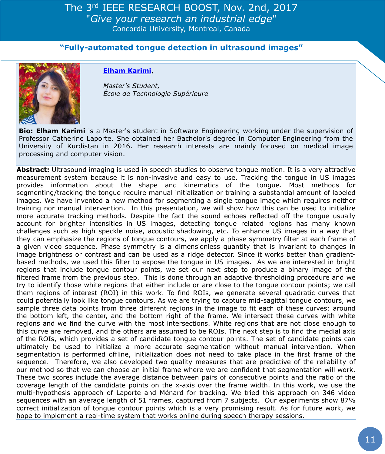## **"Fully-automated tongue detection in ultrasound images"**



#### **Elham [Karimi](https://www.linkedin.com/in/elham-karimi-188823143/)**,

*Master's Student, École de Technologie Supérieure*

**Bio: Elham Karimi** is a Master's student in Software Engineering working under the supervision of Professor Catherine Laporte. She obtained her Bachelor's degree in Computer Engineering from the University of Kurdistan in 2016. Her research interests are mainly focused on medical image processing and computer vision.

**Abstract:** Ultrasound imaging is used in speech studies to observe tongue motion. It is a very attractive measurement system because it is non-invasive and easy to use. Tracking the tongue in US images provides information about the shape and kinematics of the tongue. Most methods for segmenting/tracking the tongue require manual initialization or training a substantial amount of labeled images. We have invented a new method for segmenting a single tongue image which requires neither training nor manual intervention. In this presentation, we will show how this can be used to initialize more accurate tracking methods. Despite the fact the sound echoes reflected off the tongue usually account for brighter intensities in US images, detecting tongue related regions has many known challenges such as high speckle noise, acoustic shadowing, etc. To enhance US images in a way that they can emphasize the regions of tongue contours, we apply a phase symmetry filter at each frame of a given video sequence. Phase symmetry is a dimensionless quantity that is invariant to changes in image brightness or contrast and can be used as a ridge detector. Since it works better than gradientbased methods, we used this filter to expose the tongue in US images. As we are interested in bright regions that include tongue contour points, we set our next step to produce a binary image of the filtered frame from the previous step. This is done through an adaptive thresholding procedure and we try to identify those white regions that either include or are close to the tongue contour points; we call them regions of interest (ROI) in this work. To find ROIs, we generate several quadratic curves that could potentially look like tongue contours. As we are trying to capture mid-sagittal tongue contours, we sample three data points from three different regions in the image to fit each of these curves: around the bottom left, the center, and the bottom right of the frame. We intersect these curves with white regions and we find the curve with the most intersections. White regions that are not close enough to this curve are removed, and the others are assumed to be ROIs. The next step is to find the medial axis of the ROIs, which provides a set of candidate tongue contour points. The set of candidate points can ultimately be used to initialize a more accurate segmentation without manual intervention. When segmentation is performed offline, initialization does not need to take place in the first frame of the sequence. Therefore, we also developed two quality measures that are predictive of the reliability of our method so that we can choose an initial frame where we are confident that segmentation will work. These two scores include the average distance between pairs of consecutive points and the ratio of the coverage length of the candidate points on the x-axis over the frame width. In this work, we use the multi-hypothesis approach of Laporte and Ménard for tracking. We tried this approach on 346 video sequences with an average length of 51 frames, captured from 7 subjects. Our experiments show 87% correct initialization of tongue contour points which is a very promising result. As for future work, we hope to implement a real-time system that works online during speech therapy sessions.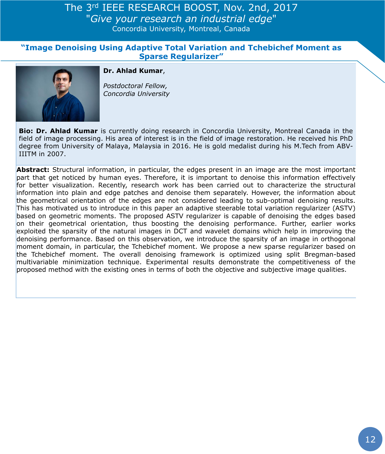## **"Image Denoising Using Adaptive Total Variation and Tchebichef Moment as Sparse Regularizer"**



#### **Dr. Ahlad Kumar**,

*Postdoctoral Fellow, Concordia University*

**Bio: Dr. Ahlad Kumar** is currently doing research in Concordia University, Montreal Canada in the field of image processing. His area of interest is in the field of image restoration. He received his PhD degree from University of Malaya, Malaysia in 2016. He is gold medalist during his M.Tech from ABV-IIITM in 2007.

**Abstract:** Structural information, in particular, the edges present in an image are the most important part that get noticed by human eyes. Therefore, it is important to denoise this information effectively for better visualization. Recently, research work has been carried out to characterize the structural information into plain and edge patches and denoise them separately. However, the information about the geometrical orientation of the edges are not considered leading to sub-optimal denoising results. This has motivated us to introduce in this paper an adaptive steerable total variation regularizer (ASTV) based on geometric moments. The proposed ASTV regularizer is capable of denoising the edges based on their geometrical orientation, thus boosting the denoising performance. Further, earlier works exploited the sparsity of the natural images in DCT and wavelet domains which help in improving the denoising performance. Based on this observation, we introduce the sparsity of an image in orthogonal moment domain, in particular, the Tchebichef moment. We propose a new sparse regularizer based on the Tchebichef moment. The overall denoising framework is optimized using split Bregman-based multivariable minimization technique. Experimental results demonstrate the competitiveness of the proposed method with the existing ones in terms of both the objective and subjective image qualities.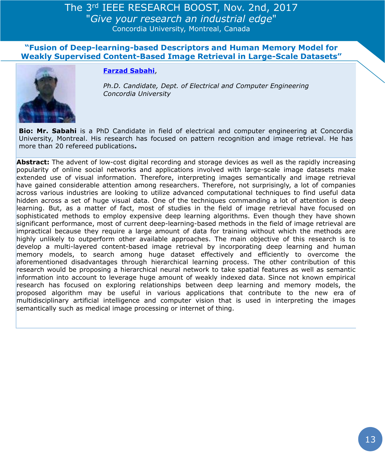**"Fusion of Deep-learning-based Descriptors and Human Memory Model for Weakly Supervised Content-Based Image Retrieval in Large-Scale Datasets"**



### **Farzad [Sabahi](https://www.linkedin.com/in/farzad-sabahi-38676399)**,

*Ph.D. Candidate, Dept. of Electrical and Computer Engineering Concordia University*

**Bio: Mr. Sabahi** is a PhD Candidate in field of electrical and computer engineering at Concordia University, Montreal. His research has focused on pattern recognition and image retrieval. He has more than 20 refereed publications**.**

**Abstract:** The advent of low-cost digital recording and storage devices as well as the rapidly increasing popularity of online social networks and applications involved with large-scale image datasets make extended use of visual information. Therefore, interpreting images semantically and image retrieval have gained considerable attention among researchers. Therefore, not surprisingly, a lot of companies across various industries are looking to utilize advanced computational techniques to find useful data hidden across a set of huge visual data. One of the techniques commanding a lot of attention is deep learning. But, as a matter of fact, most of studies in the field of image retrieval have focused on sophisticated methods to employ expensive deep learning algorithms. Even though they have shown significant performance, most of current deep-learning-based methods in the field of image retrieval are impractical because they require a large amount of data for training without which the methods are highly unlikely to outperform other available approaches. The main objective of this research is to develop a multi-layered content-based image retrieval by incorporating deep learning and human memory models, to search among huge dataset effectively and efficiently to overcome the aforementioned disadvantages through hierarchical learning process. The other contribution of this research would be proposing a hierarchical neural network to take spatial features as well as semantic information into account to leverage huge amount of weakly indexed data. Since not known empirical research has focused on exploring relationships between deep learning and memory models, the proposed algorithm may be useful in various applications that contribute to the new era of multidisciplinary artificial intelligence and computer vision that is used in interpreting the images semantically such as medical image processing or internet of thing.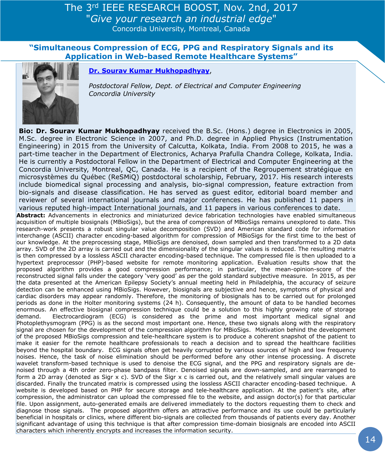**"Simultaneous Compression of ECG, PPG and Respiratory Signals and its Application in Web-based Remote Healthcare Systems"**



#### **[Dr. Sourav Kumar Mukhopadhyay](https://www.linkedin.com/in/sourav-kumar-mukhopadhyay-msc-phd-56ba1596/)**,

*Postdoctoral Fellow, Dept. of Electrical and Computer Engineering Concordia University* 

**Bio: Dr. Sourav Kumar Mukhopadhyay** received the B.Sc. (Hons.) degree in Electronics in 2005, M.Sc. degree in Electronic Science in 2007, and Ph.D. degree in Applied Physics (Instrumentation Engineering) in 2015 from the University of Calcutta, Kolkata, India. From 2008 to 2015, he was a part-time teacher in the Department of Electronics, Acharya Prafulla Chandra College, Kolkata, India. He is currently a Postdoctoral Fellow in the Department of Electrical and Computer Engineering at the Concordia University, Montreal, QC, Canada. He is a recipient of the Regroupement stratégique en microsystèmes du Québec (ReSMiQ) postdoctoral scholarship, February, 2017. His research interests include biomedical signal processing and analysis, bio-signal compression, feature extraction from bio-signals and disease classification. He has served as guest editor, editorial board member and reviewer of several international journals and major conferences. He has published 11 papers in various reputed high-impact International journals, and 11 papers in various conferences to date.

**Abstract:** Advancements in electronics and miniaturized device fabrication technologies have enabled simultaneous acquisition of multiple biosignals (MBioSigs), but the area of compression of MBioSigs remains unexplored to date. This research-work presents a robust singular value decomposition (SVD) and American standard code for information interchange (ASCII) character encoding-based algorithm for compression of MBioSigs for the first time to the best of our knowledge. At the preprocessing stage, MBioSigs are denoised, down sampled and then transformed to a 2D data array. SVD of the 2D array is carried out and the dimensionality of the singular values is reduced. The resulting matrix is then compressed by a lossless ASCII character encoding-based technique. The compressed file is then uploaded to a hypertext preprocessor (PHP)-based website for remote monitoring application. Evaluation results show that the proposed algorithm provides a good compression performance; in particular, the mean-opinion-score of the reconstructed signal falls under the category 'very good' as per the gold standard subjective measure. In 2015, as per the data presented at the American Epilepsy Society's annual meeting held in Philadelphia, the accuracy of seizure detection can be enhanced using MBioSigs. However, biosignals are subjective and hence, symptoms of physical and cardiac disorders may appear randomly. Therefore, the monitoring of biosignals has to be carried out for prolonged periods as done in the Holter monitoring systems (24 h). Consequently, the amount of data to be handled becomes enormous. An effective biosignal compression technique could be a solution to this highly growing rate of storage demand. Electrocardiogram (ECG) is considered as the prime and most important medical signal and Photoplethysmogram (PPG) is as the second most important one. Hence, these two signals along with the respiratory signal are chosen for the development of the compression algorithm for MBioSigs. Motivation behind the development of the proposed MBioSigs compression and tele-healthcare system is to produce a coherent snapshot of the patient to make it easier for the remote healthcare professionals to reach a decision and to spread the healthcare facilities beyond the hospital boundary. ECG signals often get heavily corrupted by various sources of high and low frequency noises. Hence, the task of noise elimination should be performed before any other intense processing. A discrete wavelet transform-based technique is used to denoise the ECG signal, and the PPG and respiratory signals are denoised through a 4th order zero-phase bandpass filter. Denoised signals are down-sampled, and are rearranged to form a 2D array (denoted as Sigr x c). SVD of the Sigr x c is carried out, and the relatively small singular values are discarded. Finally the truncated matrix is compressed using the lossless ASCII character encoding-based technique. A website is developed based on PHP for secure storage and tele-healthcare application. At the patient's site, after compression, the administrator can upload the compressed file to the website, and assign doctor(s) for that particular file. Upon assignment, auto-generated emails are delivered immediately to the doctors requesting them to check and diagnose those signals. The proposed algorithm offers an attractive performance and its use could be particularly beneficial in hospitals or clinics, where different bio-signals are collected from thousands of patients every day. Another significant advantage of using this technique is that after compression time-domain biosignals are encoded into ASCII characters which inherently encrypts and increases the information security.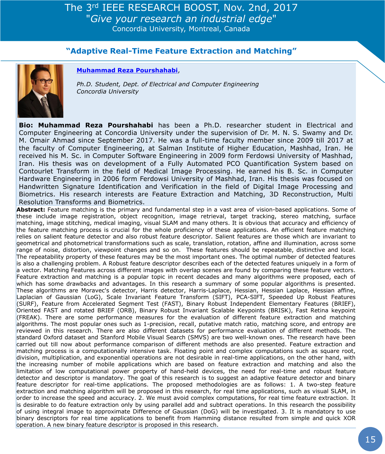## **"Adaptive Real-Time Feature Extraction and Matching"**



*Ph.D. Student, Dept. of Electrical and Computer Engineering* 

**[Muhammad Reza Pourshahabi](https://www.linkedin.com/in/muhammad-reza-pourshahabi-775073105)**,

*Concordia University*

**Bio: Muhammad Reza Pourshahabi** has been a Ph.D. researcher student in Electrical and Computer Engineering at Concordia University under the supervision of Dr. M. N. S. Swamy and Dr. M. Omair Ahmad since September 2017. He was a full-time faculty member since 2009 till 2017 at the faculty of Computer Engineering, at Salman Institute of Higher Education, Mashhad, Iran. He received his M. Sc. in Computer Software Engineering in 2009 form Ferdowsi University of Mashhad, Iran. His thesis was on development of a Fully Automated PCO Quantification System based on Contourlet Transform in the field of Medical Image Processing. He earned his B. Sc. in Computer Hardware Engineering in 2006 form Ferdowsi University of Mashhad, Iran. His thesis was focused on Handwritten Signature Identification and Verification in the field of Digital Image Processing and Biometrics. His research interests are Feature Extraction and Matching, 3D Reconstruction, Multi Resolution Transforms and Biometrics.

**Abstract:** Feature matching is the primary and fundamental step in a vast area of vision-based applications. Some of these include image registration, object recognition, image retrieval, target tracking, stereo matching, surface matching, image stitching, medical imaging, visual SLAM and many others. It is obvious that accuracy and efficiency of the feature matching process is crucial for the whole proficiency of these applications. An efficient feature matching relies on salient feature detector and also robust feature descriptor. Salient features are those which are invariant to geometrical and photometrical transformations such as scale, translation, rotation, affine and illumination, across some range of noise, distortion, viewpoint changes and so on. These features should be repeatable, distinctive and local. The repeatability property of these features may be the most important ones. The optimal number of detected features is also a challenging problem. A Robust feature descriptor describes each of the detected features uniquely in a form of a vector. Matching Features across different images with overlap scenes are found by comparing these feature vectors. Feature extraction and matching is a popular topic in recent decades and many algorithms were proposed, each of which has some drawbacks and advantages. In this research a summary of some popular algorithms is presented. These algorithms are Moravec's detector, Harris detector, Harris-Laplace, Hessian, Hessian Laplace, Hessian affine, Laplacian of Gaussian (LoG), Scale Invariant Feature Transform (SIFT), PCA-SIFT, Speeded Up Robust Features (SURF), Feature from Accelerated Segment Test (FAST), Binary Robust Independent Elementary Features (BRIEF), Oriented FAST and rotated BRIEF (ORB), Binary Robust Invariant Scalable Keypoints (BRISK), Fast Retina keypoint (FREAK). There are some performance measures for the evaluation of different feature extraction and matching algorithms. The most popular ones such as 1-precision, recall, putative match ratio, matching score, and entropy are reviewed in this research. There are also different datasets for performance evaluation of different methods. The standard Oxford dataset and Stanford Mobile Visual Search (SMVS) are two well-known ones. The research have been carried out till now about performance comparison of different methods are also presented. Feature extraction and matching process is a computationally intensive task. Floating point and complex computations such as square root, division, multiplication, and exponential operations are not desirable in real-time applications, on the other hand, with the increasing number of mobile applications which are based on feature extraction and matching and also the limitation of low computational power property of hand-held devices, the need for real-time and robust feature detector and descriptor is mandatory. The goal of this research is to suggest an adaptive feature detector and binary feature descriptor for real-time applications. The proposed methodologies are as follows: 1. A two-step feature extraction and matching algorithm will be proposed in this research, for real time applications, such as visual SLAM, in order to increase the speed and accuracy. 2. We must avoid complex computations, for real time feature extraction. It is desirable to do feature extraction only by using parallel add and subtract operations. In this research the possibility of using integral image to approximate Difference of Gaussian (DoG) will be investigated. 3. It is mandatory to use binary descriptors for real time applications to benefit from Hamming distance resulted from simple and quick XOR operation. A new binary feature descriptor is proposed in this research.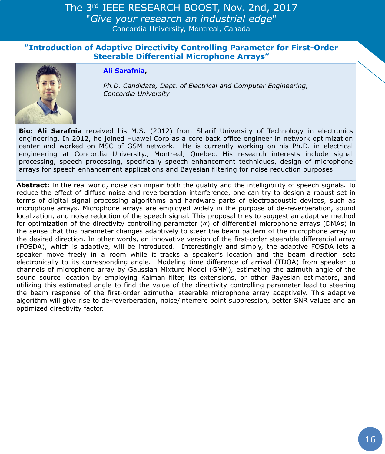**"Introduction of Adaptive Directivity Controlling Parameter for First-Order Steerable Differential Microphone Arrays"**



#### **[Ali Sarafnia](https://www.linkedin.com/in/ali-sarafnia/),**

*Ph.D. Candidate, Dept. of Electrical and Computer Engineering, Concordia University* 

**Bio: Ali Sarafnia** received his M.S. (2012) from Sharif University of Technology in electronics engineering. In 2012, he joined Huawei Corp as a core back office engineer in network optimization center and worked on MSC of GSM network. He is currently working on his Ph.D. in electrical engineering at Concordia University., Montreal, Quebec. His research interests include signal processing, speech processing, specifically speech enhancement techniques, design of microphone arrays for speech enhancement applications and Bayesian filtering for noise reduction purposes.

**Abstract:** In the real world, noise can impair both the quality and the intelligibility of speech signals. To reduce the effect of diffuse noise and reverberation interference, one can try to design a robust set in terms of digital signal processing algorithms and hardware parts of electroacoustic devices, such as microphone arrays. Microphone arrays are employed widely in the purpose of de-reverberation, sound localization, and noise reduction of the speech signal. This proposal tries to suggest an adaptive method for optimization of the directivity controlling parameter ( $\alpha$ ) of differential microphone arrays (DMAs) in the sense that this parameter changes adaptively to steer the beam pattern of the microphone array in the desired direction. In other words, an innovative version of the first-order steerable differential array (FOSDA), which is adaptive, will be introduced. Interestingly and simply, the adaptive FOSDA lets a speaker move freely in a room while it tracks a speaker's location and the beam direction sets electronically to its corresponding angle. Modeling time difference of arrival (TDOA) from speaker to channels of microphone array by Gaussian Mixture Model (GMM), estimating the azimuth angle of the sound source location by employing Kalman filter, its extensions, or other Bayesian estimators, and utilizing this estimated angle to find the value of the directivity controlling parameter lead to steering the beam response of the first-order azimuthal steerable microphone array adaptively. This adaptive algorithm will give rise to de-reverberation, noise/interfere point suppression, better SNR values and an optimized directivity factor.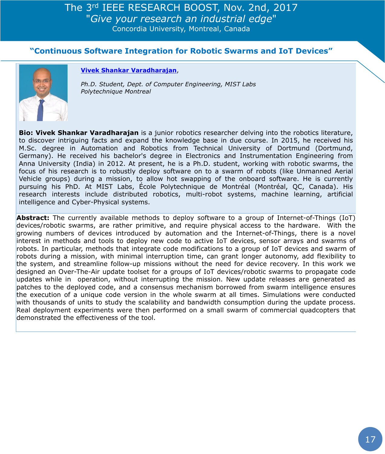# **"Continuous Software Integration for Robotic Swarms and IoT Devices"**



#### **Vivek [Shankar Varadharajan](https://www.linkedin.com/in/vivek-shankar-varadharajan-85b8b854/?trk=hp-identity-name)**,

*Ph.D. Student, Dept. of Computer Engineering, MIST Labs Polytechnique Montreal*

**Bio: Vivek Shankar Varadharajan** is a junior robotics researcher delving into the robotics literature, to discover intriguing facts and expand the knowledge base in due course. In 2015, he received his M.Sc. degree in Automation and Robotics from Technical University of Dortmund (Dortmund, Germany). He received his bachelor's degree in Electronics and Instrumentation Engineering from Anna University (India) in 2012. At present, he is a Ph.D. student, working with robotic swarms, the focus of his research is to robustly deploy software on to a swarm of robots (like Unmanned Aerial Vehicle groups) during a mission, to allow hot swapping of the onboard software. He is currently pursuing his PhD. At MIST Labs, École Polytechnique de Montréal (Montréal, QC, Canada). His research interests include distributed robotics, multi-robot systems, machine learning, artificial intelligence and Cyber-Physical systems.

**Abstract:** The currently available methods to deploy software to a group of Internet-of-Things (IoT) devices/robotic swarms, are rather primitive, and require physical access to the hardware. With the growing numbers of devices introduced by automation and the Internet-of-Things, there is a novel interest in methods and tools to deploy new code to active IoT devices, sensor arrays and swarms of robots. In particular, methods that integrate code modifications to a group of IoT devices and swarm of robots during a mission, with minimal interruption time, can grant longer autonomy, add flexibility to the system, and streamline follow-up missions without the need for device recovery. In this work we designed an Over-The-Air update toolset for a groups of IoT devices/robotic swarms to propagate code updates while in operation, without interrupting the mission. New update releases are generated as patches to the deployed code, and a consensus mechanism borrowed from swarm intelligence ensures the execution of a unique code version in the whole swarm at all times. Simulations were conducted with thousands of units to study the scalability and bandwidth consumption during the update process. Real deployment experiments were then performed on a small swarm of commercial quadcopters that demonstrated the effectiveness of the tool.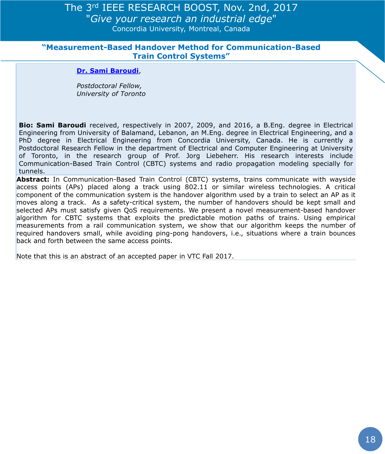## **"Measurement-Based Handover Method for Communication-Based Train Control Systems"**

#### **[Dr. Sami Baroudi](http://www.linkedin.com/in/sami-baroudi)**,

*Postdoctoral Fellow, University of Toronto*

**Bio: Sami Baroudi** received, respectively in 2007, 2009, and 2016, a B.Eng. degree in Electrical Engineering from University of Balamand, Lebanon, an M.Eng. degree in Electrical Engineering, and a PhD degree in Electrical Engineering from Concordia University, Canada. He is currently a Postdoctoral Research Fellow in the department of Electrical and Computer Engineering at University of Toronto, in the research group of Prof. Jorg Liebeherr. His research interests include Communication-Based Train Control (CBTC) systems and radio propagation modeling specially for tunnels.

**Abstract:** In Communication-Based Train Control (CBTC) systems, trains communicate with wayside access points (APs) placed along a track using 802.11 or similar wireless technologies. A critical component of the communication system is the handover algorithm used by a train to select an AP as it moves along a track. As a safety-critical system, the number of handovers should be kept small and selected APs must satisfy given QoS requirements. We present a novel measurement-based handover algorithm for CBTC systems that exploits the predictable motion paths of trains. Using empirical measurements from a rail communication system, we show that our algorithm keeps the number of required handovers small, while avoiding ping-pong handovers, i.e., situations where a train bounces back and forth between the same access points.

Note that this is an abstract of an accepted paper in VTC Fall 2017.